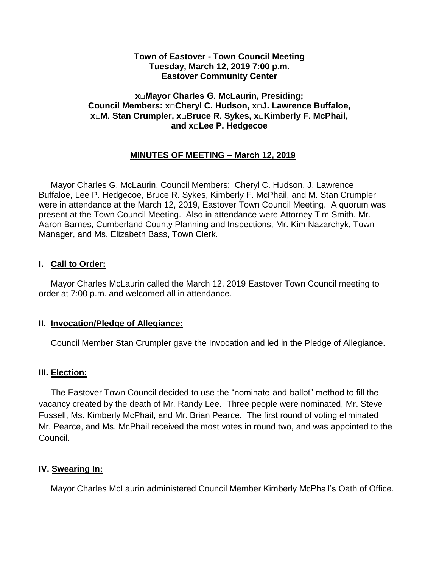#### **Town of Eastover - Town Council Meeting Tuesday, March 12, 2019 7:00 p.m. Eastover Community Center**

### **x□Mayor Charles G. McLaurin, Presiding; Council Members: x□Cheryl C. Hudson, x□J. Lawrence Buffaloe, x□M. Stan Crumpler, x□Bruce R. Sykes, x□Kimberly F. McPhail, and x□Lee P. Hedgecoe**

# **MINUTES OF MEETING – March 12, 2019**

 Mayor Charles G. McLaurin, Council Members: Cheryl C. Hudson, J. Lawrence Buffaloe, Lee P. Hedgecoe, Bruce R. Sykes, Kimberly F. McPhail, and M. Stan Crumpler were in attendance at the March 12, 2019, Eastover Town Council Meeting. A quorum was present at the Town Council Meeting. Also in attendance were Attorney Tim Smith, Mr. Aaron Barnes, Cumberland County Planning and Inspections, Mr. Kim Nazarchyk, Town Manager, and Ms. Elizabeth Bass, Town Clerk.

### **I. Call to Order:**

 Mayor Charles McLaurin called the March 12, 2019 Eastover Town Council meeting to order at 7:00 p.m. and welcomed all in attendance.

### **II. Invocation/Pledge of Allegiance:**

Council Member Stan Crumpler gave the Invocation and led in the Pledge of Allegiance.

### **III. Election:**

 The Eastover Town Council decided to use the "nominate-and-ballot" method to fill the vacancy created by the death of Mr. Randy Lee. Three people were nominated, Mr. Steve Fussell, Ms. Kimberly McPhail, and Mr. Brian Pearce. The first round of voting eliminated Mr. Pearce, and Ms. McPhail received the most votes in round two, and was appointed to the Council.

# **IV. Swearing In:**

Mayor Charles McLaurin administered Council Member Kimberly McPhail's Oath of Office.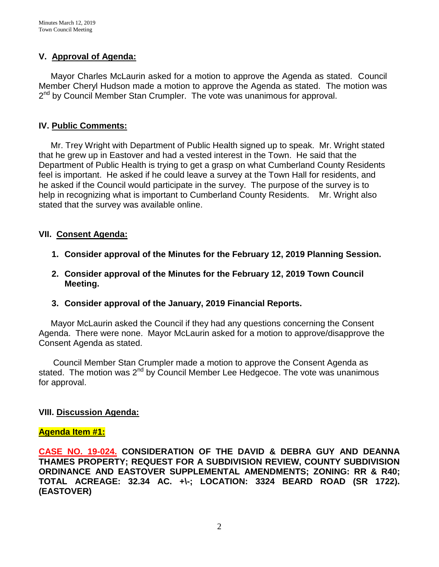# **V. Approval of Agenda:**

 Mayor Charles McLaurin asked for a motion to approve the Agenda as stated. Council Member Cheryl Hudson made a motion to approve the Agenda as stated. The motion was 2<sup>nd</sup> by Council Member Stan Crumpler. The vote was unanimous for approval.

### **IV. Public Comments:**

 Mr. Trey Wright with Department of Public Health signed up to speak. Mr. Wright stated that he grew up in Eastover and had a vested interest in the Town. He said that the Department of Public Health is trying to get a grasp on what Cumberland County Residents feel is important. He asked if he could leave a survey at the Town Hall for residents, and he asked if the Council would participate in the survey. The purpose of the survey is to help in recognizing what is important to Cumberland County Residents. Mr. Wright also stated that the survey was available online.

### **VII. Consent Agenda:**

- **1. Consider approval of the Minutes for the February 12, 2019 Planning Session.**
- **2. Consider approval of the Minutes for the February 12, 2019 Town Council Meeting.**
- **3. Consider approval of the January, 2019 Financial Reports.**

 Mayor McLaurin asked the Council if they had any questions concerning the Consent Agenda. There were none. Mayor McLaurin asked for a motion to approve/disapprove the Consent Agenda as stated.

 Council Member Stan Crumpler made a motion to approve the Consent Agenda as stated. The motion was  $2^{nd}$  by Council Member Lee Hedgecoe. The vote was unanimous for approval.

### **VIII. Discussion Agenda:**

#### **Agenda Item #1:**

**CASE NO. 19-024. CONSIDERATION OF THE DAVID & DEBRA GUY AND DEANNA THAMES PROPERTY; REQUEST FOR A SUBDIVISION REVIEW, COUNTY SUBDIVISION ORDINANCE AND EASTOVER SUPPLEMENTAL AMENDMENTS; ZONING: RR & R40; TOTAL ACREAGE: 32.34 AC. +\-; LOCATION: 3324 BEARD ROAD (SR 1722). (EASTOVER)**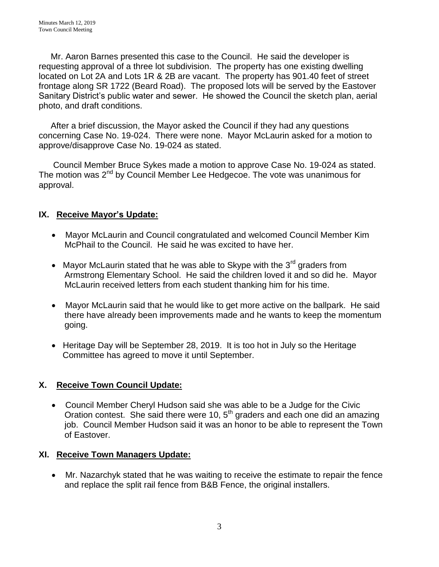Mr. Aaron Barnes presented this case to the Council. He said the developer is requesting approval of a three lot subdivision. The property has one existing dwelling located on Lot 2A and Lots 1R & 2B are vacant. The property has 901.40 feet of street frontage along SR 1722 (Beard Road). The proposed lots will be served by the Eastover Sanitary District's public water and sewer. He showed the Council the sketch plan, aerial photo, and draft conditions.

 After a brief discussion, the Mayor asked the Council if they had any questions concerning Case No. 19-024. There were none. Mayor McLaurin asked for a motion to approve/disapprove Case No. 19-024 as stated.

 Council Member Bruce Sykes made a motion to approve Case No. 19-024 as stated. The motion was 2<sup>nd</sup> by Council Member Lee Hedgecoe. The vote was unanimous for approval.

# **IX. Receive Mayor's Update:**

- Mayor McLaurin and Council congratulated and welcomed Council Member Kim McPhail to the Council. He said he was excited to have her.
- Mayor McLaurin stated that he was able to Skype with the  $3<sup>rd</sup>$  graders from Armstrong Elementary School. He said the children loved it and so did he. Mayor McLaurin received letters from each student thanking him for his time.
- Mayor McLaurin said that he would like to get more active on the ballpark. He said there have already been improvements made and he wants to keep the momentum going.
- Heritage Day will be September 28, 2019. It is too hot in July so the Heritage Committee has agreed to move it until September.

# **X. Receive Town Council Update:**

 Council Member Cheryl Hudson said she was able to be a Judge for the Civic Oration contest. She said there were 10, 5<sup>th</sup> graders and each one did an amazing job. Council Member Hudson said it was an honor to be able to represent the Town of Eastover.

# **XI. Receive Town Managers Update:**

 Mr. Nazarchyk stated that he was waiting to receive the estimate to repair the fence and replace the split rail fence from B&B Fence, the original installers.